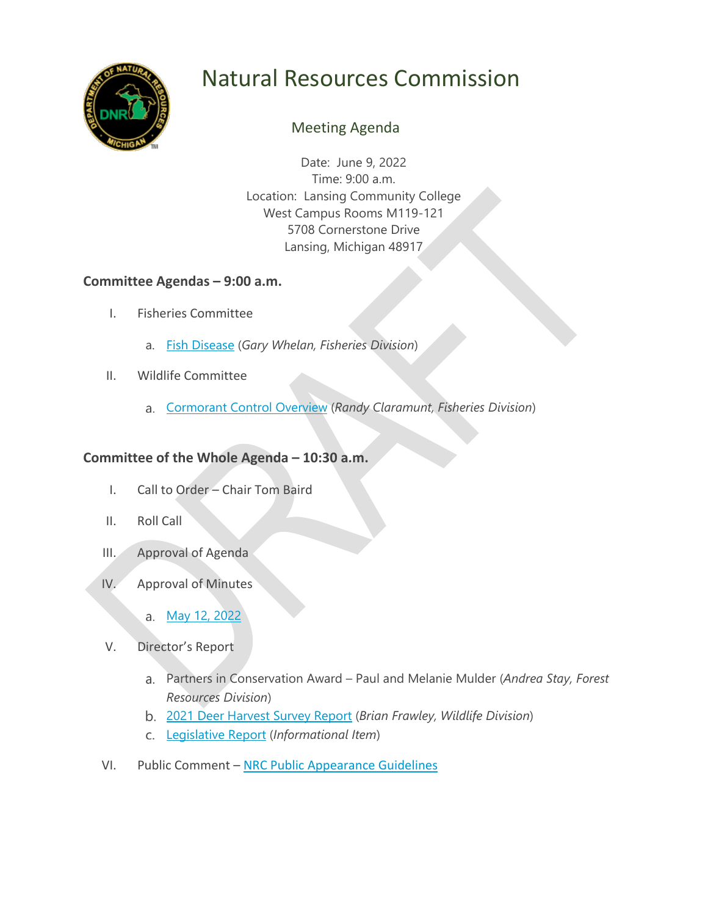

# Natural Resources Commission

# Meeting Agenda

Date: June 9, 2022 Time: 9:00 a.m. Location: Lansing Community College West Campus Rooms M119-121 5708 Cornerstone Drive Lansing, Michigan 48917

## **Committee Agendas – 9:00 a.m.**

- I. Fisheries Committee
	- a. [Fish Disease](https://www.michigan.gov/dnr/-/media/Project/Websites/dnr/Documents/Boards/NRC/2022/June-2022/Fish_Disease.pdf) (*Gary Whelan, Fisheries Division*)
- II. Wildlife Committee
	- [Cormorant Control Overview](https://www.michigan.gov/dnr/-/media/Project/Websites/dnr/Documents/Boards/NRC/2022/June-2022/Cormorant.pdf) (*Randy Claramunt, Fisheries Division*)

### **Committee of the Whole Agenda – 10:30 a.m.**

- I. Call to Order Chair Tom Baird
- II. Roll Call
- III. Approval of Agenda
- IV. Approval of Minutes
	- a. [May 12, 2022](https://www.michigan.gov/dnr/-/media/Project/Websites/dnr/Documents/Boards/NRC/2022/June-2022/May_Minutes_Draft_Final.pdf)
- V. Director's Report
	- Partners in Conservation Award Paul and Melanie Mulder (*Andrea Stay, Forest Resources Division*)
	- [2021 Deer Harvest Survey Report](https://www.michigan.gov/dnr/-/media/Project/Websites/dnr/Documents/Boards/NRC/2022/June-2022/Deer_Harvest_Survey.pdf) (*Brian Frawley, Wildlife Division*)
	- [Legislative Report](https://www.michigan.gov/dnr/-/media/Project/Websites/dnr/Documents/Boards/NRC/2022/June-2022/6_LegReport_2022.pdf) (*Informational Item*)
- VI. Public Comment [NRC Public Appearance Guidelines](http://www.michigan.gov/documents/dnr/Public_Appearance_Guidelines_6.19.19_669545_7.pdf)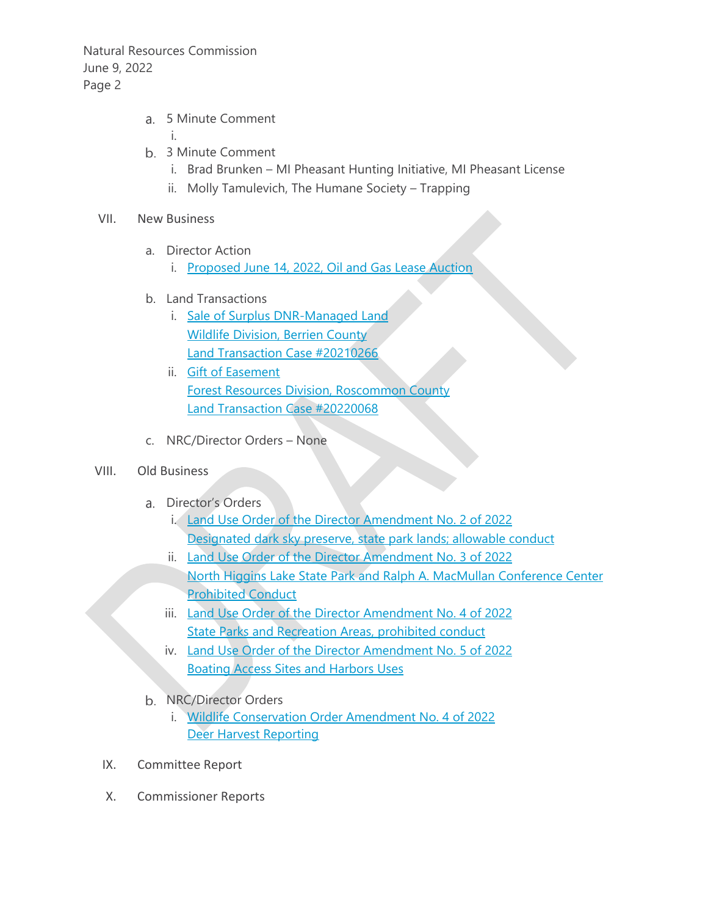Natural Resources Commission June 9, 2022 Page 2

- 5 Minute Comment
	- i.
- 3 Minute Comment
	- i. Brad Brunken MI Pheasant Hunting Initiative, MI Pheasant License
	- ii. Molly Tamulevich, The Humane Society Trapping
- VII. New Business
	- a. Director Action
		- i. [Proposed June 14, 2022, Oil and Gas Lease Auction](https://www.michigan.gov/dnr/-/media/Project/Websites/dnr/Documents/Boards/NRC/2022/June-2022/Signed_OG_Auction.pdf)
	- b. Land Transactions
		- i. [Sale of Surplus DNR-Managed Land](https://www.michigan.gov/dnr/-/media/Project/Websites/dnr/Documents/Boards/NRC/2022/June-2022/Signed_20210266.pdf) [Wildlife Division, Berrien County](https://www.michigan.gov/dnr/-/media/Project/Websites/dnr/Documents/Boards/NRC/2022/June-2022/Signed_20210266.pdf) [Land Transaction Case #20210266](https://www.michigan.gov/dnr/-/media/Project/Websites/dnr/Documents/Boards/NRC/2022/June-2022/Signed_20210266.pdf)
		- ii. [Gift of Easement](https://www.michigan.gov/dnr/-/media/Project/Websites/dnr/Documents/Boards/NRC/2022/June-2022/Signed_20220068.pdf) [Forest Resources Division, Roscommon County](https://www.michigan.gov/dnr/-/media/Project/Websites/dnr/Documents/Boards/NRC/2022/June-2022/Signed_20220068.pdf) [Land Transaction Case #20220068](https://www.michigan.gov/dnr/-/media/Project/Websites/dnr/Documents/Boards/NRC/2022/June-2022/Signed_20220068.pdf)
	- c. NRC/Director Orders None

#### VIII. Old Business

- a. Director's Orders
	- i. [Land Use Order of the Director Amendment No. 2 of 2022](https://www.michigan.gov/dnr/-/media/Project/Websites/dnr/Documents/Boards/NRC/2022/June-2022/Signed_LUOD_2_of_2022.pdf) [Designated dark sky preserve, state park lands; allowable conduct](https://www.michigan.gov/dnr/-/media/Project/Websites/dnr/Documents/Boards/NRC/2022/June-2022/Signed_LUOD_2_of_2022.pdf)
	- ii. [Land Use Order of the Director Amendment No. 3 of 2022](https://www.michigan.gov/dnr/-/media/Project/Websites/dnr/Documents/Boards/NRC/2022/June-2022/Signed_LUOD_3_of_2022.pdf) [North Higgins Lake State Park and Ralph A. MacMullan Conference Center](https://www.michigan.gov/dnr/-/media/Project/Websites/dnr/Documents/Boards/NRC/2022/June-2022/Signed_LUOD_3_of_2022.pdf)  [Prohibited Conduct](https://www.michigan.gov/dnr/-/media/Project/Websites/dnr/Documents/Boards/NRC/2022/June-2022/Signed_LUOD_3_of_2022.pdf)
	- iii. [Land Use Order of the Director Amendment No. 4 of 2022](https://www.michigan.gov/dnr/-/media/Project/Websites/dnr/Documents/Boards/NRC/2022/June-2022/Signed_LUOD_4_of_2022.pdf) [State Parks and Recreation Areas, prohibited conduct](https://www.michigan.gov/dnr/-/media/Project/Websites/dnr/Documents/Boards/NRC/2022/June-2022/Signed_LUOD_4_of_2022.pdf)
	- iv. [Land Use Order of the Director Amendment No. 5 of 2022](https://www.michigan.gov/dnr/-/media/Project/Websites/dnr/Documents/Boards/NRC/2022/June-2022/Signed_LUOD_5_of_2022.pdf) Boating Access [Sites and Harbors Uses](https://www.michigan.gov/dnr/-/media/Project/Websites/dnr/Documents/Boards/NRC/2022/June-2022/Signed_LUOD_5_of_2022.pdf)
- b. NRC/Director Orders
	- i. [Wildlife Conservation Order Amendment No. 4](https://www.michigan.gov/dnr/-/media/Project/Websites/dnr/Documents/Boards/NRC/2022/June-2022/Signed_04WCO2022.pdf) of 2022 [Deer Harvest Reporting](https://www.michigan.gov/dnr/-/media/Project/Websites/dnr/Documents/Boards/NRC/2022/June-2022/Signed_04WCO2022.pdf)
- IX. Committee Report
- X. Commissioner Reports